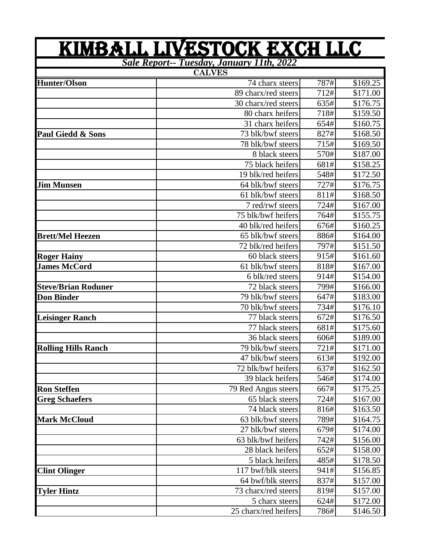|                              | <u>KIMBALL LIVESTOCK EXCH LLC</u><br>Sale Report-- Tuesday, January 11th, 2022 |      |          |
|------------------------------|--------------------------------------------------------------------------------|------|----------|
|                              | <b>CALVES</b>                                                                  |      |          |
| <b>Hunter/Olson</b>          | 74 charx steers                                                                | 787# | \$169.25 |
|                              | 89 charx/red steers                                                            | 712# | \$171.00 |
|                              | 30 charx/red steers                                                            | 635# | \$176.75 |
|                              | 80 charx heifers                                                               | 718# | \$159.50 |
|                              | 31 charx heifers                                                               | 654# | \$160.75 |
| <b>Paul Giedd &amp; Sons</b> | 73 blk/bwf steers                                                              | 827# | \$168.50 |
|                              | 78 blk/bwf steers                                                              | 715# | \$169.50 |
|                              | 8 black steers                                                                 | 570# | \$187.00 |
|                              | 75 black heifers                                                               | 681# | \$158.25 |
|                              | 19 blk/red heifers                                                             | 548# | \$172.50 |
| <b>Jim Munsen</b>            | 64 blk/bwf steers                                                              | 727# | \$176.75 |
|                              | 61 blk/bwf steers                                                              | 811# | \$168.50 |
|                              | 7 red/rwf steers                                                               | 724# | \$167.00 |
|                              | 75 blk/bwf heifers                                                             | 764# | \$155.75 |
|                              | 40 blk/red heifers                                                             | 676# | \$160.25 |
| <b>Brett/Mel Heezen</b>      | 65 blk/bwf steers                                                              | 886# | \$164.00 |
|                              | 72 blk/red heifers                                                             | 797# | \$151.50 |
| <b>Roger Hainy</b>           | 60 black steers                                                                | 915# | \$161.60 |
| <b>James McCord</b>          | 61 blk/bwf steers                                                              | 818# | \$167.00 |
|                              | 6 blk/red steers                                                               | 914# | \$154.00 |
| <b>Steve/Brian Roduner</b>   | 72 black steers                                                                | 799# | \$166.00 |
| <b>Don Binder</b>            | 79 blk/bwf steers                                                              | 647# | \$183.00 |
|                              | 70 blk/bwf steers                                                              | 734# | \$176.10 |
| <b>Leisinger Ranch</b>       | 77 black steers                                                                | 672# | \$176.50 |
|                              | 77 black steers                                                                | 681# | \$175.60 |
|                              | 36 black steers                                                                | 606# | \$189.00 |
| <b>Rolling Hills Ranch</b>   | 79 blk/bwf steers                                                              | 721# | \$171.00 |
|                              | $\overline{47}$ blk/bwf steers                                                 | 613# | \$192.00 |
|                              | 72 blk/bwf heifers                                                             | 637# | \$162.50 |
|                              | 39 black heifers                                                               | 546# | \$174.00 |
| <b>Ron Steffen</b>           | 79 Red Angus steers                                                            | 667# | \$175.25 |
| <b>Greg Schaefers</b>        | 65 black steers                                                                | 724# | \$167.00 |
|                              | 74 black steers                                                                | 816# | \$163.50 |
| <b>Mark McCloud</b>          | 63 blk/bwf steers                                                              | 789# | \$164.75 |
|                              | 27 blk/bwf steers                                                              | 679# | \$174.00 |
|                              | 63 blk/bwf heifers                                                             | 742# | \$156.00 |
|                              | 28 black heifers                                                               | 652# | \$158.00 |
|                              | 5 black heifers                                                                | 485# | \$178.50 |
| <b>Clint Olinger</b>         | 117 bwf/blk steers                                                             | 941# | \$156.85 |
|                              | 64 bwf/blk steers                                                              | 837# | \$157.00 |
| <b>Tyler Hintz</b>           | 73 charx/red steers                                                            | 819# | \$157.00 |
|                              | 5 charx steers                                                                 | 624# | \$172.00 |
|                              | 25 charx/red heifers                                                           | 786# | \$146.50 |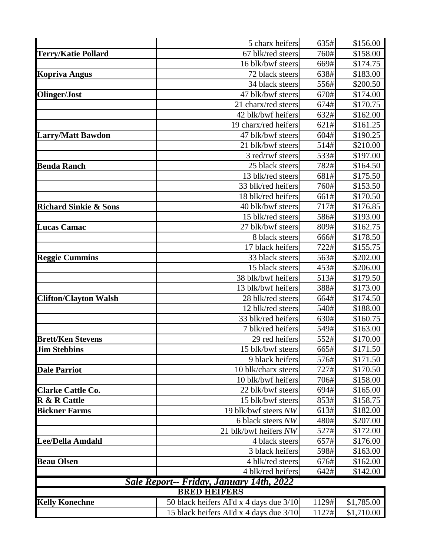|                                  | 5 charx heifers                          | 635#  | \$156.00   |
|----------------------------------|------------------------------------------|-------|------------|
| <b>Terry/Katie Pollard</b>       | 67 blk/red steers                        | 760#  | \$158.00   |
|                                  | 16 blk/bwf steers                        | 669#  | \$174.75   |
| <b>Kopriva Angus</b>             | 72 black steers                          | 638#  | \$183.00   |
|                                  | 34 black steers                          | 556#  | \$200.50   |
| <b>Olinger/Jost</b>              | 47 blk/bwf steers                        | 670#  | \$174.00   |
|                                  | 21 charx/red steers                      | 674#  | \$170.75   |
|                                  | 42 blk/bwf heifers                       | 632#  | \$162.00   |
|                                  | 19 charx/red heifers                     | 621#  | \$161.25   |
| <b>Larry/Matt Bawdon</b>         | 47 blk/bwf steers                        | 604#  | \$190.25   |
|                                  | 21 blk/bwf steers                        | 514#  | \$210.00   |
|                                  | 3 red/rwf steers                         | 533#  | \$197.00   |
| <b>Benda Ranch</b>               | 25 black steers                          | 782#  | \$164.50   |
|                                  | 13 blk/red steers                        | 681#  | \$175.50   |
|                                  | 33 blk/red heifers                       | 760#  | \$153.50   |
|                                  | 18 blk/red heifers                       | 661#  | \$170.50   |
| <b>Richard Sinkie &amp; Sons</b> | 40 blk/bwf steers                        | 717#  | \$176.85   |
|                                  | 15 blk/red steers                        | 586#  | \$193.00   |
| <b>Lucas Camac</b>               | 27 blk/bwf steers                        | 809#  | \$162.75   |
|                                  | 8 black steers                           | 666#  | \$178.50   |
|                                  | 17 black heifers                         | 722#  | \$155.75   |
| <b>Reggie Cummins</b>            | 33 black steers                          | 563#  | \$202.00   |
|                                  | 15 black steers                          | 453#  | \$206.00   |
|                                  | 38 blk/bwf heifers                       | 513#  | \$179.50   |
|                                  | 13 blk/bwf heifers                       | 388#  | \$173.00   |
| <b>Clifton/Clayton Walsh</b>     | 28 blk/red steers                        | 664#  | \$174.50   |
|                                  | 12 blk/red steers                        | 540#  | \$188.00   |
|                                  | 33 blk/red heifers                       | 630#  | \$160.75   |
|                                  | 7 blk/red heifers                        | 549#  | \$163.00   |
| <b>Brett/Ken Stevens</b>         | 29 red heifers                           | 552#  | \$170.00   |
| <b>Jim Stebbins</b>              | 15 blk/bwf steers                        | 665#  | \$171.50   |
|                                  | 9 black heifers                          | 576#  | \$171.50   |
| <b>Dale Parriot</b>              | 10 blk/charx steers                      | 727#  | \$170.50   |
|                                  | 10 blk/bwf heifers                       | 706#  | \$158.00   |
| <b>Clarke Cattle Co.</b>         | 22 blk/bwf steers                        | 694#  | \$165.00   |
| <b>R &amp; R Cattle</b>          | 15 blk/bwf steers                        | 853#  | \$158.75   |
| <b>Bickner Farms</b>             | 19 blk/bwf steers NW                     | 613#  | \$182.00   |
|                                  | 6 black steers NW                        | 480#  | \$207.00   |
|                                  | 21 blk/bwf heifers NW                    | 527#  | \$172.00   |
| <b>Lee/Della Amdahl</b>          | 4 black steers                           | 657#  | \$176.00   |
|                                  | 3 black heifers                          | 598#  | \$163.00   |
| <b>Beau Olsen</b>                | 4 blk/red steers                         | 676#  | \$162.00   |
|                                  | 4 blk/red heifers                        | 642#  | \$142.00   |
|                                  | Sale Report-- Friday, January 14th, 2022 |       |            |
|                                  | <b>BRED HEIFERS</b>                      |       |            |
| <b>Kelly Konechne</b>            | 50 black heifers AI'd x 4 days due 3/10  | 1129# | \$1,785.00 |
|                                  | 15 black heifers AI'd x 4 days due 3/10  | 1127# | \$1,710.00 |